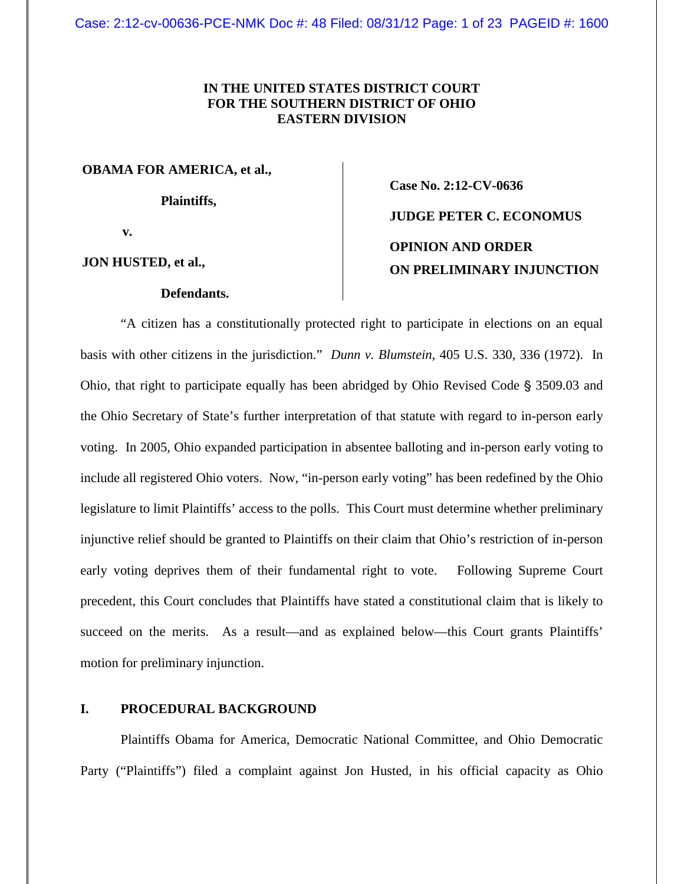# **IN THE UNITED STATES DISTRICT COURT FOR THE SOUTHERN DISTRICT OF OHIO EASTERN DIVISION**

**OBAMA FOR AMERICA, et al.,**

**Plaintiffs,**

**Case No. 2:12-CV-0636 JUDGE PETER C. ECONOMUS OPINION AND ORDER ON PRELIMINARY INJUNCTION**

**v.**

**JON HUSTED, et al.,**

### **Defendants.**

"A citizen has a constitutionally protected right to participate in elections on an equal basis with other citizens in the jurisdiction." *Dunn v. Blumstein*, 405 U.S. 330, 336 (1972). In Ohio, that right to participate equally has been abridged by Ohio Revised Code  $\S$  3509.03 and the Ohio Secretary of State's further interpretation of that statute with regard to in-person early voting. In 2005, Ohio expanded participation in absentee balloting and in-person early voting to include all registered Ohio voters. Now, "in-person early voting" has been redefined by the Ohio legislature to limit Plaintiffs' access to the polls. This Court must determine whether preliminary injunctive relief should be granted to Plaintiffs on their claim that Ohio's restriction of in-person early voting deprives them of their fundamental right to vote. Following Supreme Court precedent, this Court concludes that Plaintiffs have stated a constitutional claim that is likely to succeed on the merits. As a result—and as explained below—this Court grants Plaintiffs' motion for preliminary injunction.

# **I. PROCEDURAL BACKGROUND**

Plaintiffs Obama for America, Democratic National Committee, and Ohio Democratic Party ("Plaintiffs") filed a complaint against Jon Husted, in his official capacity as Ohio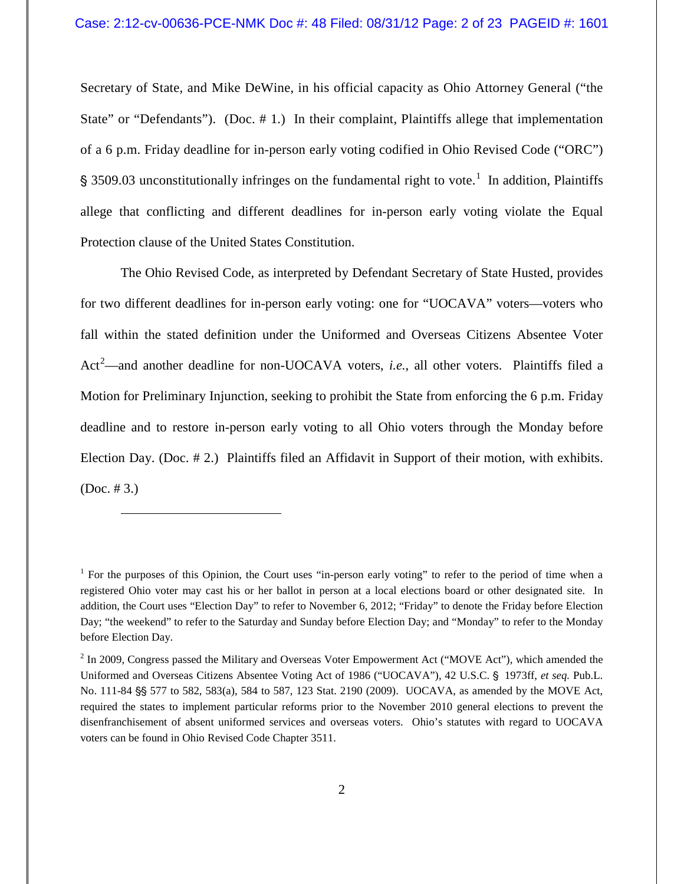Secretary of State, and Mike DeWine, in his official capacity as Ohio Attorney General ("the State" or "Defendants"). (Doc. #1.) In their complaint, Plaintiffs allege that implementation of a 6 p.m. Friday deadline for in-person early voting codified in Ohio Revised Code ("ORC") § 3509.03 unconstitutionally infringes on the fundamental right to vote.<sup>1</sup> In addition, Plaintiffs allege that conflicting and different deadlines for in-person early voting violate the Equal Protection clause of the United States Constitution.

The Ohio Revised Code, as interpreted by Defendant Secretary of State Husted, provides for two different deadlines for in-person early voting: one for "UOCAVA" voters—voters who fall within the stated definition under the Uniformed and Overseas Citizens Absentee Voter Act 2 —and another deadline for non-UOCAVA voters, *i.e.,* all other voters. Plaintiffs filed a Motion for Preliminary Injunction, seeking to prohibit the State from enforcing the 6 p.m. Friday deadline and to restore in-person early voting to all Ohio voters through the Monday before Election Day. (Doc. # 2.) Plaintiffs filed an Affidavit in Support of their motion, with exhibits. (Doc. # 3.)

 $\overline{a}$ 

<sup>&</sup>lt;sup>1</sup> For the purposes of this Opinion, the Court uses "in-person early voting" to refer to the period of time when a registered Ohio voter may cast his or her ballot in person at a local elections board or other designated site. In addition, the Court uses "Election Day" to refer to November 6, 2012; "Friday" to denote the Friday before Election Day; "the weekend" to refer to the Saturday and Sunday before Election Day; and "Monday" to refer to the Monday before Election Day.

 $2$  In 2009, Congress passed the Military and Overseas Voter Empowerment Act ("MOVE Act"), which amended the Uniformed and Overseas Citizens Absentee Voting Act of 1986 ("UOCAVA"), 42 U.S.C. § 1973ff, *et seq.* Pub.L. No. 111-84  $\frac{85}{11}$  577 to 582, 583(a), 584 to 587, 123 Stat. 2190 (2009). UOCAVA, as amended by the MOVE Act, required the states to implement particular reforms prior to the November 2010 general elections to prevent the disenfranchisement of absent uniformed services and overseas voters. Ohio's statutes with regard to UOCAVA voters can be found in Ohio Revised Code Chapter 3511.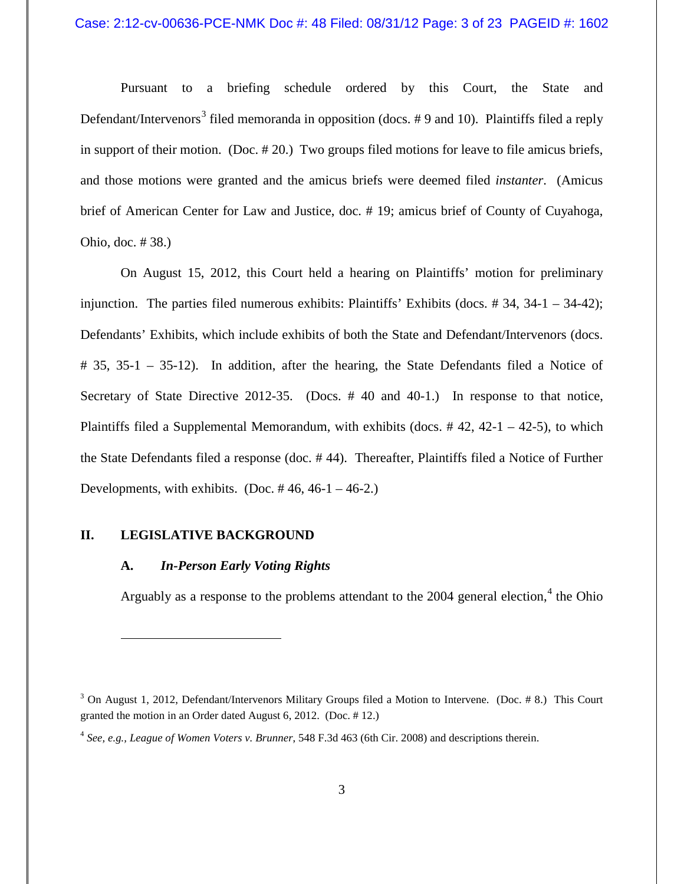Pursuant to a briefing schedule ordered by this Court, the State and Defendant/Intervenors<sup>3</sup> filed memoranda in opposition (docs. #9 and 10). Plaintiffs filed a reply in support of their motion. (Doc. # 20.) Two groups filed motions for leave to file amicus briefs, and those motions were granted and the amicus briefs were deemed filed *instanter*. (Amicus brief of American Center for Law and Justice, doc. # 19; amicus brief of County of Cuyahoga, Ohio, doc. # 38.)

On August 15, 2012, this Court held a hearing on Plaintiffs' motion for preliminary injunction. The parties filed numerous exhibits: Plaintiffs' Exhibits (docs.  $\#$  34, 34-1 – 34-42); Defendants' Exhibits, which include exhibits of both the State and Defendant/Intervenors (docs. # 35, 35-1 – 35-12). In addition, after the hearing, the State Defendants filed a Notice of Secretary of State Directive 2012-35. (Docs. #40 and 40-1.) In response to that notice, Plaintiffs filed a Supplemental Memorandum, with exhibits (docs.  $# 42$ ,  $42-1 - 42-5$ ), to which the State Defendants filed a response (doc. # 44). Thereafter, Plaintiffs filed a Notice of Further Developments, with exhibits. (Doc.  $\# 46, 46-1 - 46-2$ .)

# **II. LEGISLATIVE BACKGROUND**

 $\overline{a}$ 

## **A.** *In-Person Early Voting Rights*

Arguably as a response to the problems attendant to the 2004 general election,<sup>4</sup> the Ohio

<sup>&</sup>lt;sup>3</sup> On August 1, 2012, Defendant/Intervenors Military Groups filed a Motion to Intervene. (Doc. #8.) This Court granted the motion in an Order dated August 6, 2012. (Doc. # 12.)

<sup>4</sup> *See, e.g., League of Women Voters v. Brunner*, 548 F.3d 463 (6th Cir. 2008) and descriptions therein.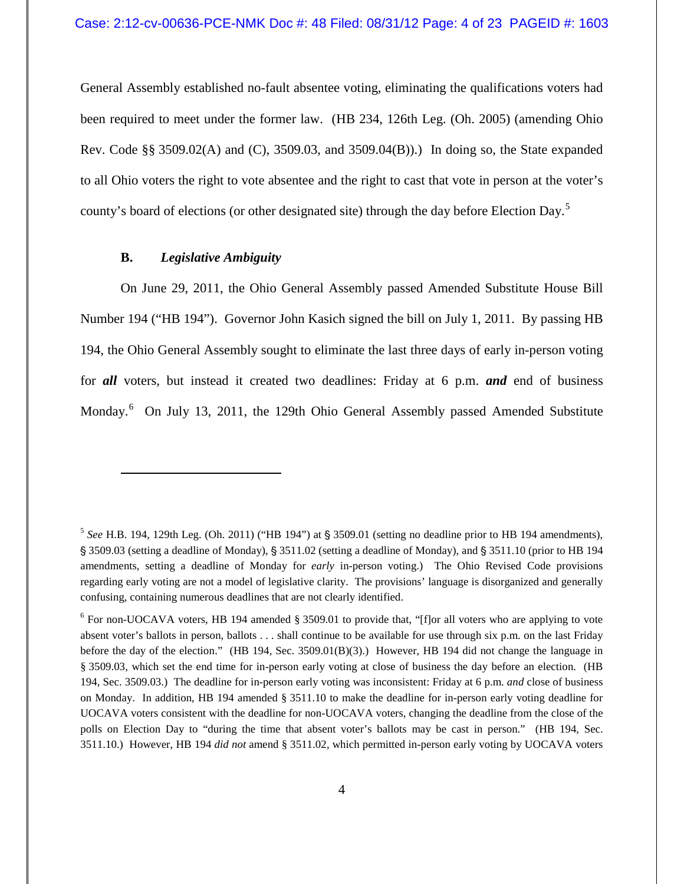General Assembly established no-fault absentee voting, eliminating the qualifications voters had been required to meet under the former law. (HB 234, 126th Leg. (Oh. 2005) (amending Ohio Rev. Code §§ 3509.02(A) and (C), 3509.03, and 3509.04(B)).) In doing so, the State expanded to all Ohio voters the right to vote absentee and the right to cast that vote in person at the voter's county's board of elections (or other designated site) through the day before Election Day.<sup>5</sup>

# **B.** *Legislative Ambiguity*

 $\overline{a}$ 

On June 29, 2011, the Ohio General Assembly passed Amended Substitute House Bill Number 194 ("HB 194"). Governor John Kasich signed the bill on July 1, 2011. By passing HB 194, the Ohio General Assembly sought to eliminate the last three days of early in-person voting for *all* voters, but instead it created two deadlines: Friday at 6 p.m. *and* end of business Monday.<sup>6</sup> On July 13, 2011, the 129th Ohio General Assembly passed Amended Substitute

 $5$  *See* H.B. 194, 129th Leg. (Oh. 2011) ("HB 194") at  $\frac{1}{9}$  3509.01 (setting no deadline prior to HB 194 amendments), ' 3509.03 (setting a deadline of Monday), ' 3511.02 (setting a deadline of Monday), and ' 3511.10 (prior to HB 194 amendments, setting a deadline of Monday for *early* in-person voting.) The Ohio Revised Code provisions regarding early voting are not a model of legislative clarity. The provisions' language is disorganized and generally confusing, containing numerous deadlines that are not clearly identified.

<sup>&</sup>lt;sup>6</sup> For non-UOCAVA voters, HB 194 amended § 3509.01 to provide that, "[f]or all voters who are applying to vote absent voter's ballots in person, ballots . . . shall continue to be available for use through six p.m. on the last Friday before the day of the election." (HB 194, Sec. 3509.01(B)(3).) However, HB 194 did not change the language in § 3509.03, which set the end time for in-person early voting at close of business the day before an election. (HB 194, Sec. 3509.03.) The deadline for in-person early voting was inconsistent: Friday at 6 p.m. *and* close of business on Monday. In addition, HB 194 amended § 3511.10 to make the deadline for in-person early voting deadline for UOCAVA voters consistent with the deadline for non-UOCAVA voters, changing the deadline from the close of the polls on Election Day to "during the time that absent voter's ballots may be cast in person." (HB 194, Sec. 3511.10.) However, HB 194 *did not* amend § 3511.02, which permitted in-person early voting by UOCAVA voters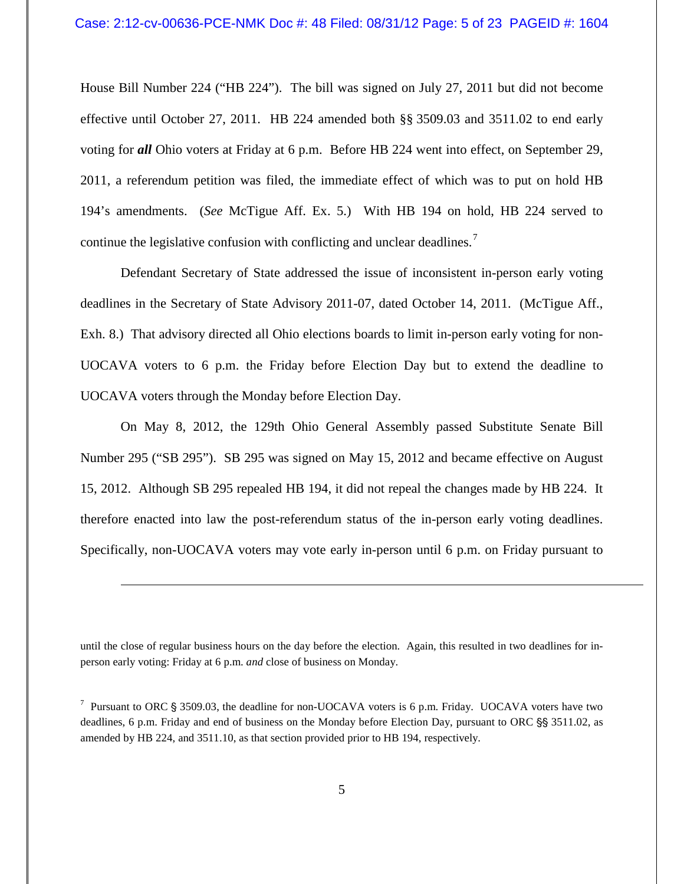House Bill Number 224 ("HB 224"). The bill was signed on July 27, 2011 but did not become effective until October 27, 2011. HB 224 amended both §§ 3509.03 and 3511.02 to end early voting for *all* Ohio voters at Friday at 6 p.m. Before HB 224 went into effect, on September 29, 2011, a referendum petition was filed, the immediate effect of which was to put on hold HB 194's amendments. (*See* McTigue Aff. Ex. 5.) With HB 194 on hold, HB 224 served to continue the legislative confusion with conflicting and unclear deadlines.<sup>7</sup>

Defendant Secretary of State addressed the issue of inconsistent in-person early voting deadlines in the Secretary of State Advisory 2011-07, dated October 14, 2011. (McTigue Aff., Exh. 8.) That advisory directed all Ohio elections boards to limit in-person early voting for non-UOCAVA voters to 6 p.m. the Friday before Election Day but to extend the deadline to UOCAVA voters through the Monday before Election Day.

On May 8, 2012, the 129th Ohio General Assembly passed Substitute Senate Bill Number 295 ("SB 295"). SB 295 was signed on May 15, 2012 and became effective on August 15, 2012. Although SB 295 repealed HB 194, it did not repeal the changes made by HB 224. It therefore enacted into law the post-referendum status of the in-person early voting deadlines. Specifically, non-UOCAVA voters may vote early in-person until 6 p.m. on Friday pursuant to

 $\overline{a}$ 

until the close of regular business hours on the day before the election. Again, this resulted in two deadlines for inperson early voting: Friday at 6 p.m. *and* close of business on Monday.

<sup>&</sup>lt;sup>7</sup> Pursuant to ORC § 3509.03, the deadline for non-UOCAVA voters is 6 p.m. Friday. UOCAVA voters have two deadlines, 6 p.m. Friday and end of business on the Monday before Election Day, pursuant to ORC §§ 3511.02, as amended by HB 224, and 3511.10, as that section provided prior to HB 194, respectively.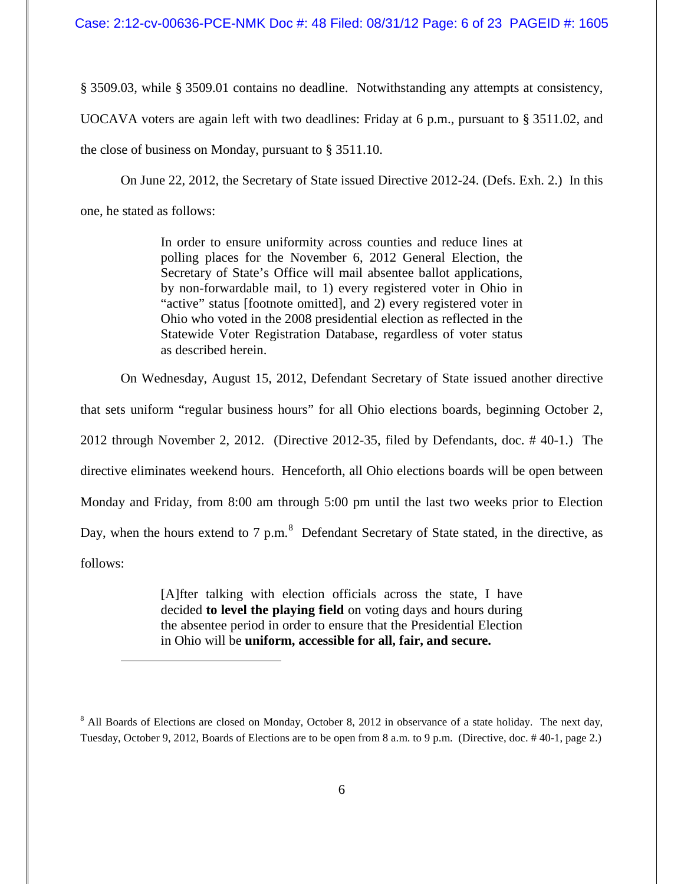§ 3509.03, while § 3509.01 contains no deadline. Notwithstanding any attempts at consistency,

UOCAVA voters are again left with two deadlines: Friday at 6 p.m., pursuant to § 3511.02, and

the close of business on Monday, pursuant to § 3511.10.

 $\overline{a}$ 

On June 22, 2012, the Secretary of State issued Directive 2012-24. (Defs. Exh. 2.) In this one, he stated as follows:

> In order to ensure uniformity across counties and reduce lines at polling places for the November 6, 2012 General Election, the Secretary of State's Office will mail absentee ballot applications, by non-forwardable mail, to 1) every registered voter in Ohio in "active" status [footnote omitted], and 2) every registered voter in Ohio who voted in the 2008 presidential election as reflected in the Statewide Voter Registration Database, regardless of voter status as described herein.

On Wednesday, August 15, 2012, Defendant Secretary of State issued another directive

that sets uniform "regular business hours" for all Ohio elections boards, beginning October 2, 2012 through November 2, 2012. (Directive 2012-35, filed by Defendants, doc. # 40-1.) The directive eliminates weekend hours. Henceforth, all Ohio elections boards will be open between Monday and Friday, from 8:00 am through 5:00 pm until the last two weeks prior to Election Day, when the hours extend to 7 p.m.<sup>8</sup> Defendant Secretary of State stated, in the directive, as follows:

> [A]fter talking with election officials across the state, I have decided **to level the playing field** on voting days and hours during the absentee period in order to ensure that the Presidential Election in Ohio will be **uniform, accessible for all, fair, and secure.**

<sup>&</sup>lt;sup>8</sup> All Boards of Elections are closed on Monday, October 8, 2012 in observance of a state holiday. The next day, Tuesday, October 9, 2012, Boards of Elections are to be open from 8 a.m. to 9 p.m. (Directive, doc. # 40-1, page 2.)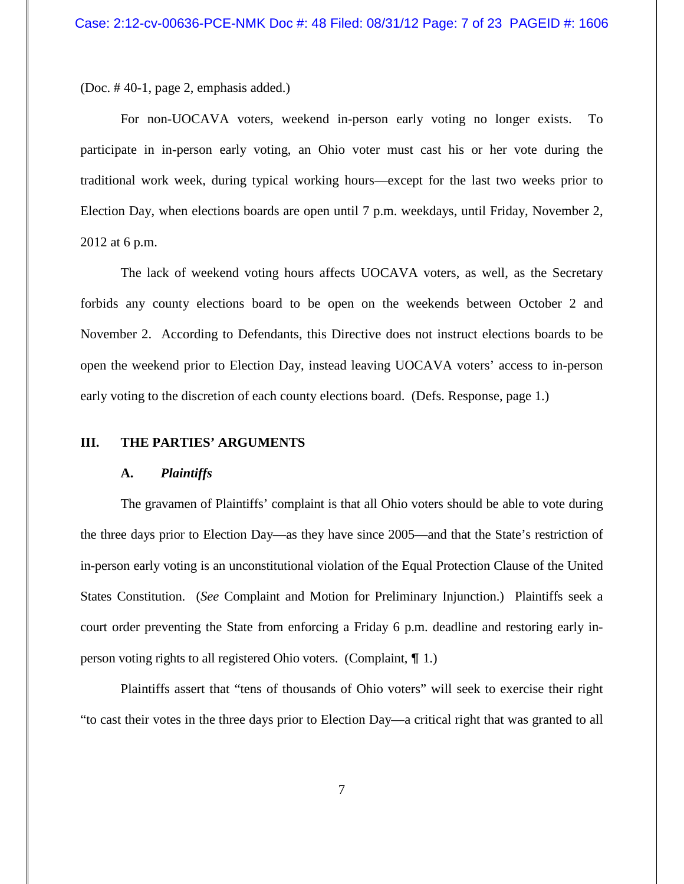(Doc. # 40-1, page 2, emphasis added.)

For non-UOCAVA voters, weekend in-person early voting no longer exists. To participate in in-person early voting, an Ohio voter must cast his or her vote during the traditional work week, during typical working hours—except for the last two weeks prior to Election Day, when elections boards are open until 7 p.m. weekdays, until Friday, November 2, 2012 at 6 p.m.

The lack of weekend voting hours affects UOCAVA voters, as well, as the Secretary forbids any county elections board to be open on the weekends between October 2 and November 2. According to Defendants, this Directive does not instruct elections boards to be open the weekend prior to Election Day, instead leaving UOCAVA voters' access to in-person early voting to the discretion of each county elections board. (Defs. Response, page 1.)

## **III. THE PARTIES' ARGUMENTS**

#### **A.** *Plaintiffs*

The gravamen of Plaintiffs' complaint is that all Ohio voters should be able to vote during the three days prior to Election Day—as they have since 2005—and that the State's restriction of in-person early voting is an unconstitutional violation of the Equal Protection Clause of the United States Constitution. (*See* Complaint and Motion for Preliminary Injunction.) Plaintiffs seek a court order preventing the State from enforcing a Friday 6 p.m. deadline and restoring early inperson voting rights to all registered Ohio voters. (Complaint,  $\P$  1.)

Plaintiffs assert that "tens of thousands of Ohio voters" will seek to exercise their right "to cast their votes in the three days prior to Election Day—a critical right that was granted to all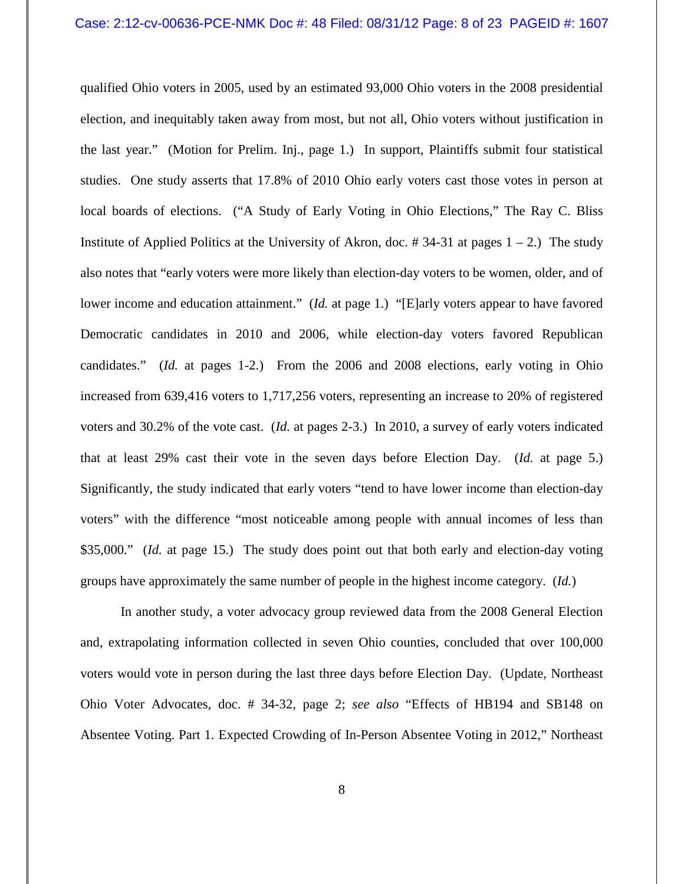qualified Ohio voters in 2005, used by an estimated 93,000 Ohio voters in the 2008 presidential election, and inequitably taken away from most, but not all, Ohio voters without justification in the last year." (Motion for Prelim. Inj., page 1.) In support, Plaintiffs submit four statistical studies. One study asserts that 17.8% of 2010 Ohio early voters cast those votes in person at local boards of elections. ("A Study of Early Voting in Ohio Elections," The Ray C. Bliss Institute of Applied Politics at the University of Akron, doc. #34-31 at pages  $1 - 2$ .) The study also notes that "early voters were more likely than election-day voters to be women, older, and of lower income and education attainment." (*Id.* at page 1.) "[E]arly voters appear to have favored Democratic candidates in 2010 and 2006, while election-day voters favored Republican candidates." (*Id.* at pages 1-2.) From the 2006 and 2008 elections, early voting in Ohio increased from 639,416 voters to 1,717,256 voters, representing an increase to 20% of registered voters and 30.2% of the vote cast. (*Id.* at pages 2-3.) In 2010, a survey of early voters indicated that at least 29% cast their vote in the seven days before Election Day. (*Id.* at page 5.) Significantly, the study indicated that early voters "tend to have lower income than election-day voters" with the difference "most noticeable among people with annual incomes of less than \$35,000." *(Id. at page 15.)* The study does point out that both early and election-day voting groups have approximately the same number of people in the highest income category. (*Id.*)

In another study, a voter advocacy group reviewed data from the 2008 General Election and, extrapolating information collected in seven Ohio counties, concluded that over 100,000 voters would vote in person during the last three days before Election Day. (Update, Northeast Ohio Voter Advocates, doc. # 34-32, page 2; *see also* "Effects of HB194 and SB148 on Absentee Voting. Part 1. Expected Crowding of In-Person Absentee Voting in 2012," Northeast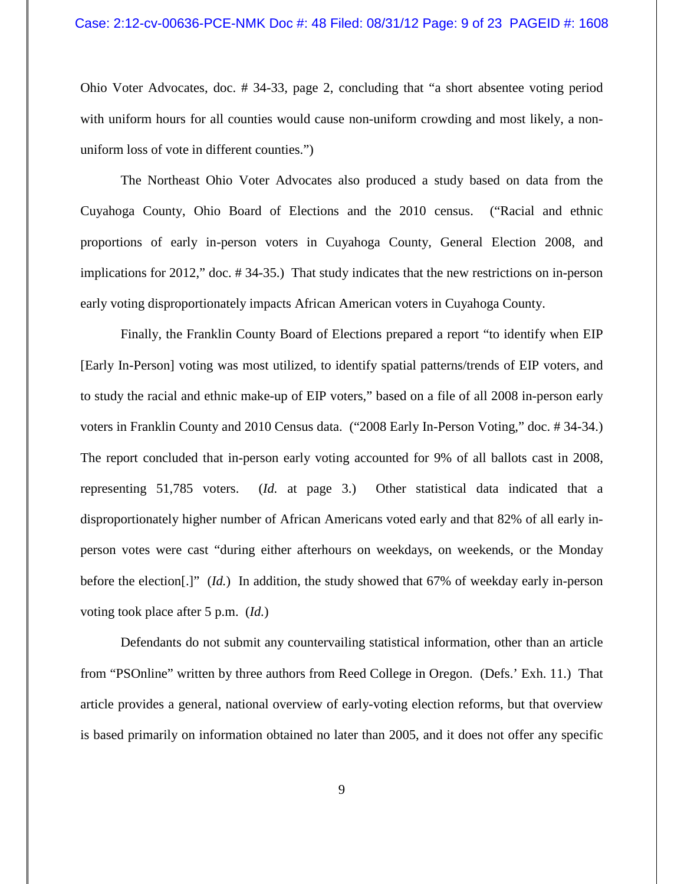Ohio Voter Advocates, doc. # 34-33, page 2, concluding that "a short absentee voting period with uniform hours for all counties would cause non-uniform crowding and most likely, a nonuniform loss of vote in different counties.")

The Northeast Ohio Voter Advocates also produced a study based on data from the Cuyahoga County, Ohio Board of Elections and the 2010 census. ("Racial and ethnic proportions of early in-person voters in Cuyahoga County, General Election 2008, and implications for 2012," doc. # 34-35.) That study indicates that the new restrictions on in-person early voting disproportionately impacts African American voters in Cuyahoga County.

Finally, the Franklin County Board of Elections prepared a report "to identify when EIP [Early In-Person] voting was most utilized, to identify spatial patterns/trends of EIP voters, and to study the racial and ethnic make-up of EIP voters," based on a file of all 2008 in-person early voters in Franklin County and 2010 Census data. ("2008 Early In-Person Voting," doc. # 34-34.) The report concluded that in-person early voting accounted for 9% of all ballots cast in 2008, representing 51,785 voters. (*Id.* at page 3.) Other statistical data indicated that a disproportionately higher number of African Americans voted early and that 82% of all early inperson votes were cast "during either afterhours on weekdays, on weekends, or the Monday before the election[.]" (*Id.*) In addition, the study showed that 67% of weekday early in-person voting took place after 5 p.m. (*Id.*)

Defendants do not submit any countervailing statistical information, other than an article from "PSOnline" written by three authors from Reed College in Oregon. (Defs.' Exh. 11.) That article provides a general, national overview of early-voting election reforms, but that overview is based primarily on information obtained no later than 2005, and it does not offer any specific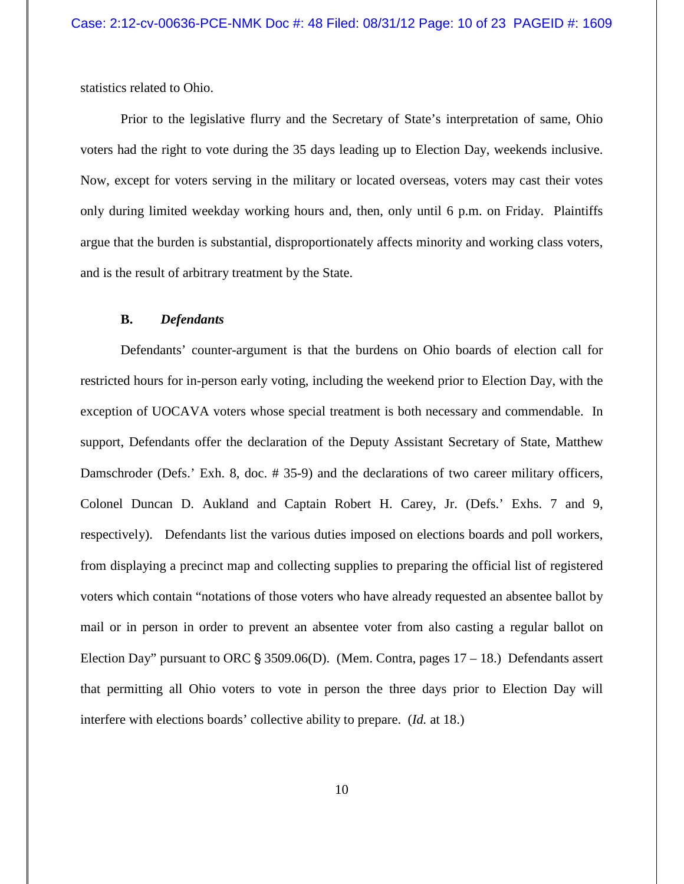statistics related to Ohio.

Prior to the legislative flurry and the Secretary of State's interpretation of same, Ohio voters had the right to vote during the 35 days leading up to Election Day, weekends inclusive. Now, except for voters serving in the military or located overseas, voters may cast their votes only during limited weekday working hours and, then, only until 6 p.m. on Friday. Plaintiffs argue that the burden is substantial, disproportionately affects minority and working class voters, and is the result of arbitrary treatment by the State.

## **B.** *Defendants*

Defendants' counter-argument is that the burdens on Ohio boards of election call for restricted hours for in-person early voting, including the weekend prior to Election Day, with the exception of UOCAVA voters whose special treatment is both necessary and commendable. In support, Defendants offer the declaration of the Deputy Assistant Secretary of State, Matthew Damschroder (Defs.' Exh. 8, doc. # 35-9) and the declarations of two career military officers, Colonel Duncan D. Aukland and Captain Robert H. Carey, Jr. (Defs.' Exhs. 7 and 9, respectively). Defendants list the various duties imposed on elections boards and poll workers, from displaying a precinct map and collecting supplies to preparing the official list of registered voters which contain "notations of those voters who have already requested an absentee ballot by mail or in person in order to prevent an absentee voter from also casting a regular ballot on Election Day" pursuant to ORC  $\S 3509.06(D)$ . (Mem. Contra, pages 17 – 18.) Defendants assert that permitting all Ohio voters to vote in person the three days prior to Election Day will interfere with elections boards' collective ability to prepare. (*Id.* at 18.)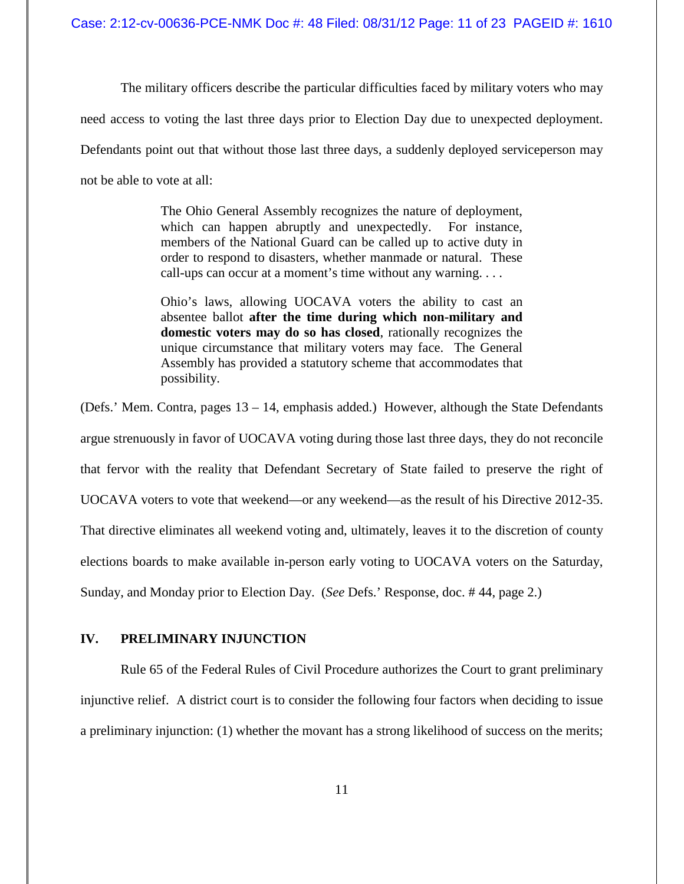Case: 2:12-cv-00636-PCE-NMK Doc #: 48 Filed: 08/31/12 Page: 11 of 23 PAGEID #: 1610

The military officers describe the particular difficulties faced by military voters who may

need access to voting the last three days prior to Election Day due to unexpected deployment.

Defendants point out that without those last three days, a suddenly deployed serviceperson may

not be able to vote at all:

The Ohio General Assembly recognizes the nature of deployment, which can happen abruptly and unexpectedly. For instance, members of the National Guard can be called up to active duty in order to respond to disasters, whether manmade or natural. These call-ups can occur at a moment's time without any warning. . . .

Ohio's laws, allowing UOCAVA voters the ability to cast an absentee ballot **after the time during which non-military and domestic voters may do so has closed**, rationally recognizes the unique circumstance that military voters may face. The General Assembly has provided a statutory scheme that accommodates that possibility.

(Defs.' Mem. Contra, pages 13 – 14, emphasis added.) However, although the State Defendants argue strenuously in favor of UOCAVA voting during those last three days, they do not reconcile that fervor with the reality that Defendant Secretary of State failed to preserve the right of UOCAVA voters to vote that weekend—or any weekend—as the result of his Directive 2012-35. That directive eliminates all weekend voting and, ultimately, leaves it to the discretion of county elections boards to make available in-person early voting to UOCAVA voters on the Saturday, Sunday, and Monday prior to Election Day. (*See* Defs.' Response, doc. # 44, page 2.)

# **IV. PRELIMINARY INJUNCTION**

Rule 65 of the Federal Rules of Civil Procedure authorizes the Court to grant preliminary injunctive relief. A district court is to consider the following four factors when deciding to issue a preliminary injunction: (1) whether the movant has a strong likelihood of success on the merits;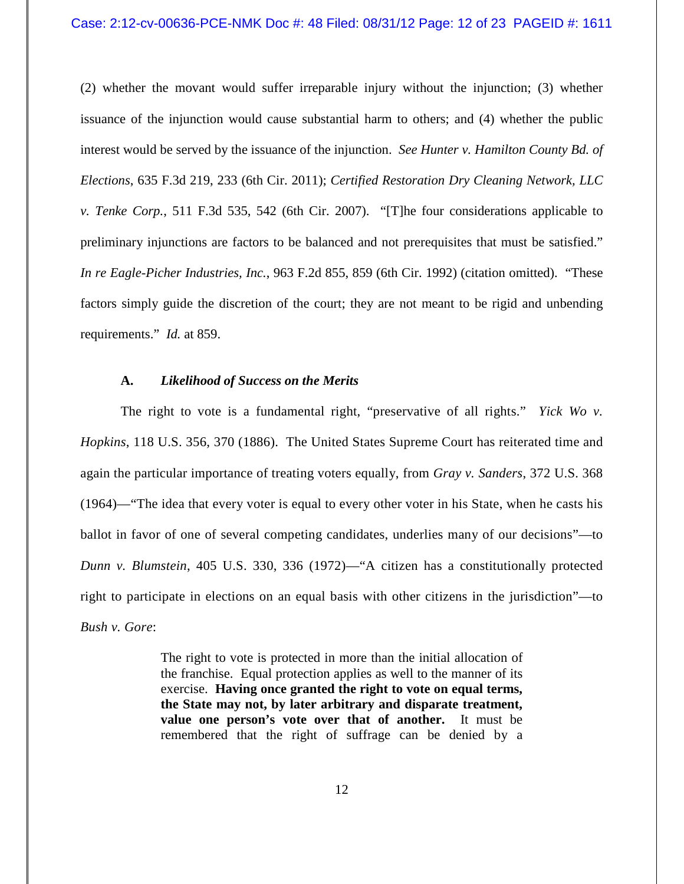(2) whether the movant would suffer irreparable injury without the injunction; (3) whether issuance of the injunction would cause substantial harm to others; and (4) whether the public interest would be served by the issuance of the injunction. *See Hunter v. Hamilton County Bd. of Elections*, 635 F.3d 219, 233 (6th Cir. 2011); *Certified Restoration Dry Cleaning Network, LLC v. Tenke Corp.*, 511 F.3d 535, 542 (6th Cir. 2007). "[T]he four considerations applicable to preliminary injunctions are factors to be balanced and not prerequisites that must be satisfied." *In re Eagle-Picher Industries, Inc.*, 963 F.2d 855, 859 (6th Cir. 1992) (citation omitted). "These factors simply guide the discretion of the court; they are not meant to be rigid and unbending requirements." *Id.* at 859.

## **A.** *Likelihood of Success on the Merits*

The right to vote is a fundamental right, "preservative of all rights." *Yick Wo v. Hopkins*, 118 U.S. 356, 370 (1886). The United States Supreme Court has reiterated time and again the particular importance of treating voters equally, from *Gray v. Sanders*, 372 U.S. 368 (1964)—"The idea that every voter is equal to every other voter in his State, when he casts his ballot in favor of one of several competing candidates, underlies many of our decisions"—to *Dunn v. Blumstein*, 405 U.S. 330, 336 (1972)—"A citizen has a constitutionally protected right to participate in elections on an equal basis with other citizens in the jurisdiction"—to *Bush v. Gore*:

> The right to vote is protected in more than the initial allocation of the franchise. Equal protection applies as well to the manner of its exercise. **Having once granted the right to vote on equal terms, the State may not, by later arbitrary and disparate treatment, value one person's vote over that of another.** It must be remembered that the right of suffrage can be denied by a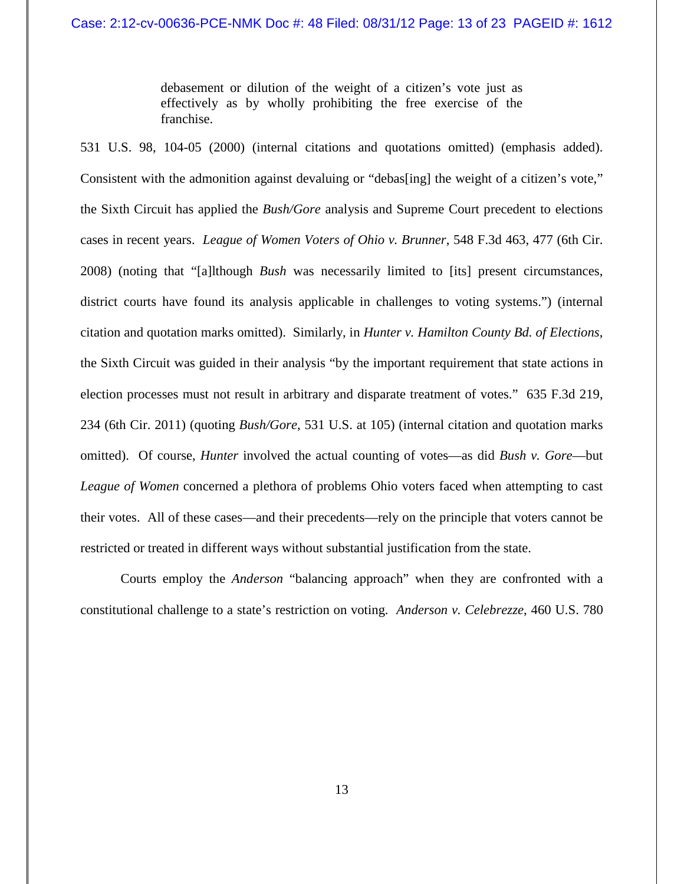debasement or dilution of the weight of a citizen's vote just as effectively as by wholly prohibiting the free exercise of the franchise.

531 U.S. 98, 104-05 (2000) (internal citations and quotations omitted) (emphasis added). Consistent with the admonition against devaluing or "debas[ing] the weight of a citizen's vote," the Sixth Circuit has applied the *Bush/Gore* analysis and Supreme Court precedent to elections cases in recent years. *League of Women Voters of Ohio v. Brunner*, 548 F.3d 463, 477 (6th Cir. 2008) (noting that "[a]lthough *Bush* was necessarily limited to [its] present circumstances, district courts have found its analysis applicable in challenges to voting systems.") (internal citation and quotation marks omitted). Similarly, in *Hunter v. Hamilton County Bd. of Elections*, the Sixth Circuit was guided in their analysis "by the important requirement that state actions in election processes must not result in arbitrary and disparate treatment of votes." 635 F.3d 219, 234 (6th Cir. 2011) (quoting *Bush/Gore*, 531 U.S. at 105) (internal citation and quotation marks omitted). Of course, *Hunter* involved the actual counting of votes—as did *Bush v. Gore*—but *League of Women* concerned a plethora of problems Ohio voters faced when attempting to cast their votes. All of these cases—and their precedents—rely on the principle that voters cannot be restricted or treated in different ways without substantial justification from the state.

Courts employ the *Anderson* "balancing approach" when they are confronted with a constitutional challenge to a state's restriction on voting. *Anderson v. Celebrezze*, 460 U.S. 780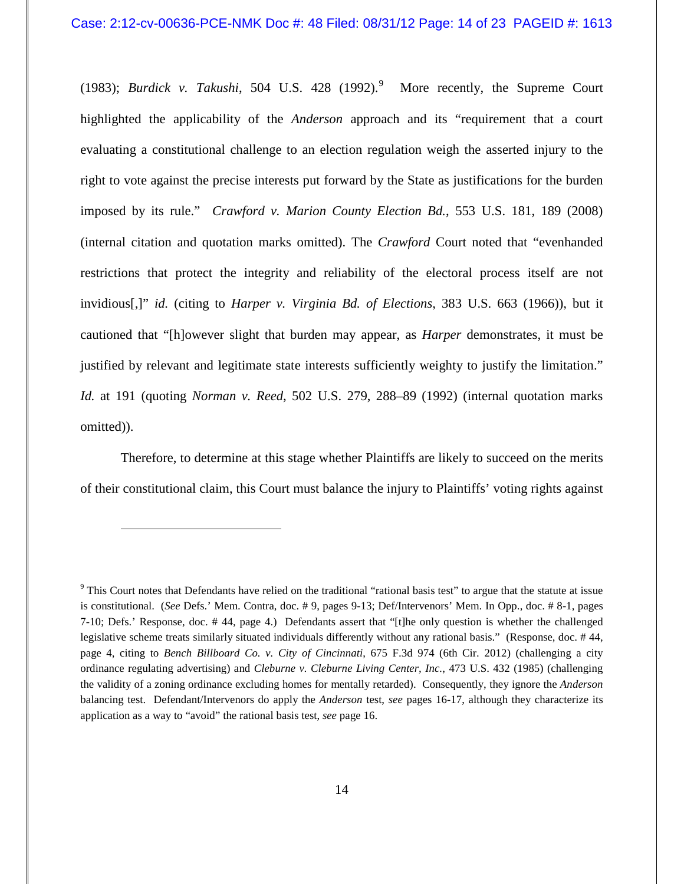(1983); *Burdick v. Takushi*, 504 U.S. 428 (1992). 9 More recently, the Supreme Court highlighted the applicability of the *Anderson* approach and its "requirement that a court evaluating a constitutional challenge to an election regulation weigh the asserted injury to the right to vote against the precise interests put forward by the State as justifications for the burden imposed by its rule." *Crawford v. Marion County Election Bd.*, 553 U.S. 181, 189 (2008) (internal citation and quotation marks omitted). The *Crawford* Court noted that "evenhanded restrictions that protect the integrity and reliability of the electoral process itself are not invidious[,]" *id.* (citing to *Harper v. Virginia Bd. of Elections*, 383 U.S. 663 (1966)), but it cautioned that "[h]owever slight that burden may appear, as *Harper* demonstrates, it must be justified by relevant and legitimate state interests sufficiently weighty to justify the limitation." *Id.* at 191 (quoting *Norman v. Reed*, 502 U.S. 279, 288–89 (1992) (internal quotation marks omitted)).

Therefore, to determine at this stage whether Plaintiffs are likely to succeed on the merits of their constitutional claim, this Court must balance the injury to Plaintiffs' voting rights against

 $\overline{a}$ 

<sup>&</sup>lt;sup>9</sup> This Court notes that Defendants have relied on the traditional "rational basis test" to argue that the statute at issue is constitutional. (*See* Defs.' Mem. Contra, doc. # 9, pages 9-13; Def/Intervenors' Mem. In Opp., doc. # 8-1, pages 7-10; Defs.' Response, doc. # 44, page 4.) Defendants assert that "[t]he only question is whether the challenged legislative scheme treats similarly situated individuals differently without any rational basis." (Response, doc. # 44, page 4, citing to *Bench Billboard Co. v. City of Cincinnati*, 675 F.3d 974 (6th Cir. 2012) (challenging a city ordinance regulating advertising) and *Cleburne v. Cleburne Living Center, Inc.*, 473 U.S. 432 (1985) (challenging the validity of a zoning ordinance excluding homes for mentally retarded). Consequently, they ignore the *Anderson* balancing test. Defendant/Intervenors do apply the *Anderson* test, *see* pages 16-17, although they characterize its application as a way to "avoid" the rational basis test, *see* page 16.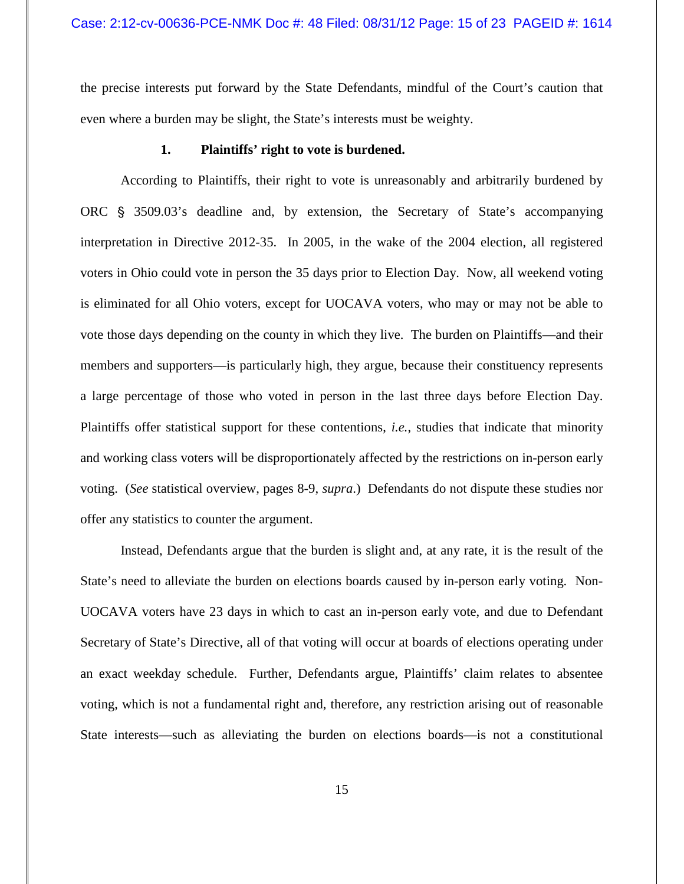the precise interests put forward by the State Defendants, mindful of the Court's caution that even where a burden may be slight, the State's interests must be weighty.

## **1. Plaintiffs' right to vote is burdened.**

According to Plaintiffs, their right to vote is unreasonably and arbitrarily burdened by ORC § 3509.03's deadline and, by extension, the Secretary of State's accompanying interpretation in Directive 2012-35. In 2005, in the wake of the 2004 election, all registered voters in Ohio could vote in person the 35 days prior to Election Day. Now, all weekend voting is eliminated for all Ohio voters, except for UOCAVA voters, who may or may not be able to vote those days depending on the county in which they live. The burden on Plaintiffs—and their members and supporters—is particularly high, they argue, because their constituency represents a large percentage of those who voted in person in the last three days before Election Day. Plaintiffs offer statistical support for these contentions, *i.e.*, studies that indicate that minority and working class voters will be disproportionately affected by the restrictions on in-person early voting. (*See* statistical overview, pages 8-9, *supra*.) Defendants do not dispute these studies nor offer any statistics to counter the argument.

Instead, Defendants argue that the burden is slight and, at any rate, it is the result of the State's need to alleviate the burden on elections boards caused by in-person early voting. Non-UOCAVA voters have 23 days in which to cast an in-person early vote, and due to Defendant Secretary of State's Directive, all of that voting will occur at boards of elections operating under an exact weekday schedule. Further, Defendants argue, Plaintiffs' claim relates to absentee voting, which is not a fundamental right and, therefore, any restriction arising out of reasonable State interests—such as alleviating the burden on elections boards—is not a constitutional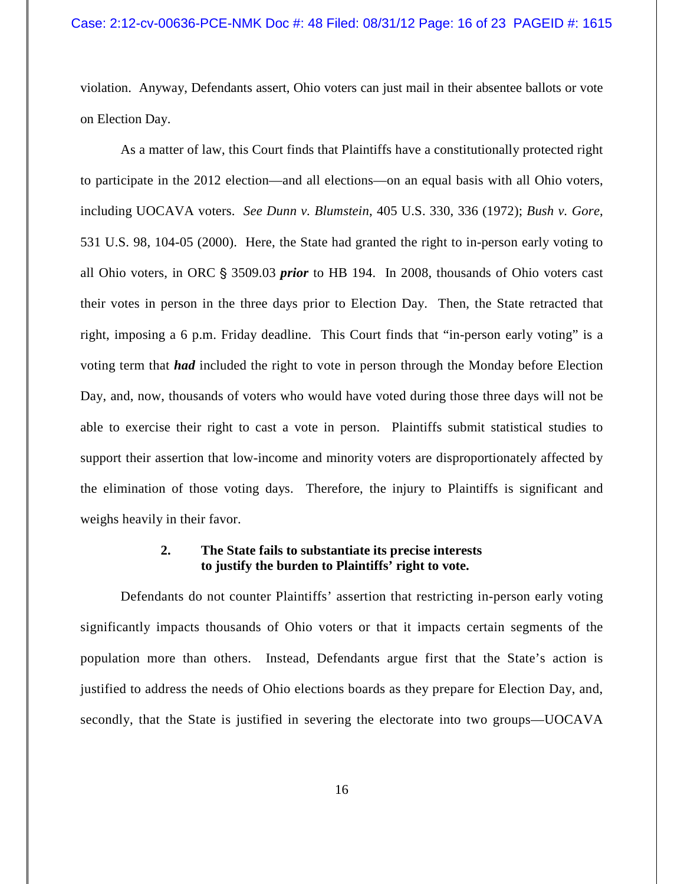violation. Anyway, Defendants assert, Ohio voters can just mail in their absentee ballots or vote on Election Day.

As a matter of law, this Court finds that Plaintiffs have a constitutionally protected right to participate in the 2012 election—and all elections—on an equal basis with all Ohio voters, including UOCAVA voters. *See Dunn v. Blumstein*, 405 U.S. 330, 336 (1972); *Bush v. Gore*, 531 U.S. 98, 104-05 (2000). Here, the State had granted the right to in-person early voting to all Ohio voters, in ORC § 3509.03 *prior* to HB 194. In 2008, thousands of Ohio voters cast their votes in person in the three days prior to Election Day. Then, the State retracted that right, imposing a 6 p.m. Friday deadline. This Court finds that "in-person early voting" is a voting term that *had* included the right to vote in person through the Monday before Election Day, and, now, thousands of voters who would have voted during those three days will not be able to exercise their right to cast a vote in person. Plaintiffs submit statistical studies to support their assertion that low-income and minority voters are disproportionately affected by the elimination of those voting days. Therefore, the injury to Plaintiffs is significant and weighs heavily in their favor.

## **2. The State fails to substantiate its precise interests to justify the burden to Plaintiffs' right to vote.**

Defendants do not counter Plaintiffs' assertion that restricting in-person early voting significantly impacts thousands of Ohio voters or that it impacts certain segments of the population more than others. Instead, Defendants argue first that the State's action is justified to address the needs of Ohio elections boards as they prepare for Election Day, and, secondly, that the State is justified in severing the electorate into two groups—UOCAVA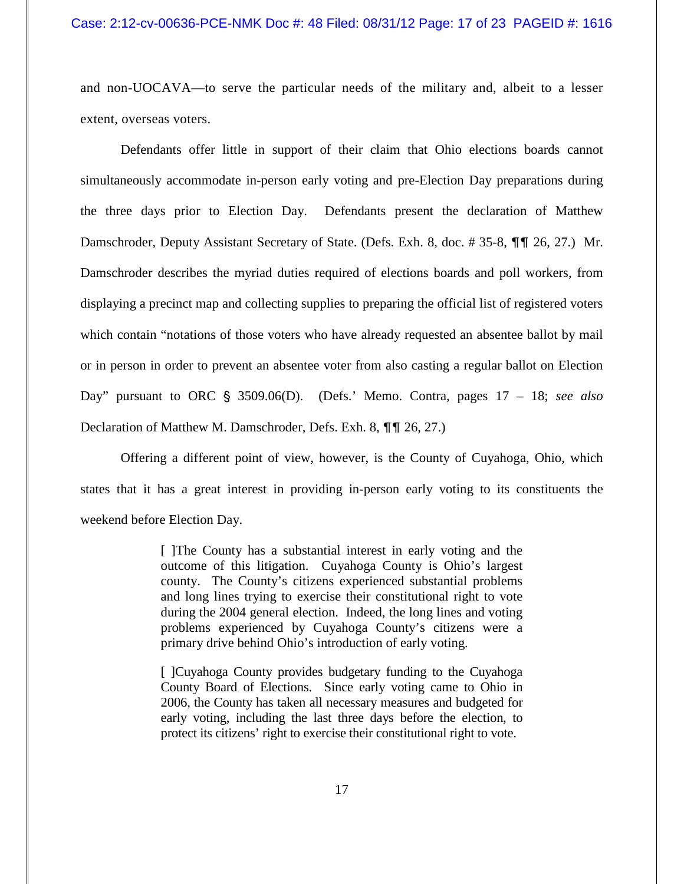### Case: 2:12-cv-00636-PCE-NMK Doc #: 48 Filed: 08/31/12 Page: 17 of 23 PAGEID #: 1616

and non-UOCAVA—to serve the particular needs of the military and, albeit to a lesser extent, overseas voters.

Defendants offer little in support of their claim that Ohio elections boards cannot simultaneously accommodate in-person early voting and pre-Election Day preparations during the three days prior to Election Day. Defendants present the declaration of Matthew Damschroder, Deputy Assistant Secretary of State. (Defs. Exh. 8, doc. #35-8,  $\P\P$  1 26, 27.) Mr. Damschroder describes the myriad duties required of elections boards and poll workers, from displaying a precinct map and collecting supplies to preparing the official list of registered voters which contain "notations of those voters who have already requested an absentee ballot by mail or in person in order to prevent an absentee voter from also casting a regular ballot on Election Day" pursuant to ORC § 3509.06(D). (Defs.' Memo. Contra, pages 17 – 18; *see also* Declaration of Matthew M. Damschroder, Defs. Exh. 8,  $\P\P$  26, 27.)

Offering a different point of view, however, is the County of Cuyahoga, Ohio, which states that it has a great interest in providing in-person early voting to its constituents the weekend before Election Day.

> [ ]The County has a substantial interest in early voting and the outcome of this litigation. Cuyahoga County is Ohio's largest county. The County's citizens experienced substantial problems and long lines trying to exercise their constitutional right to vote during the 2004 general election. Indeed, the long lines and voting problems experienced by Cuyahoga County's citizens were a primary drive behind Ohio's introduction of early voting.

> [ ]Cuyahoga County provides budgetary funding to the Cuyahoga County Board of Elections. Since early voting came to Ohio in 2006, the County has taken all necessary measures and budgeted for early voting, including the last three days before the election, to protect its citizens' right to exercise their constitutional right to vote.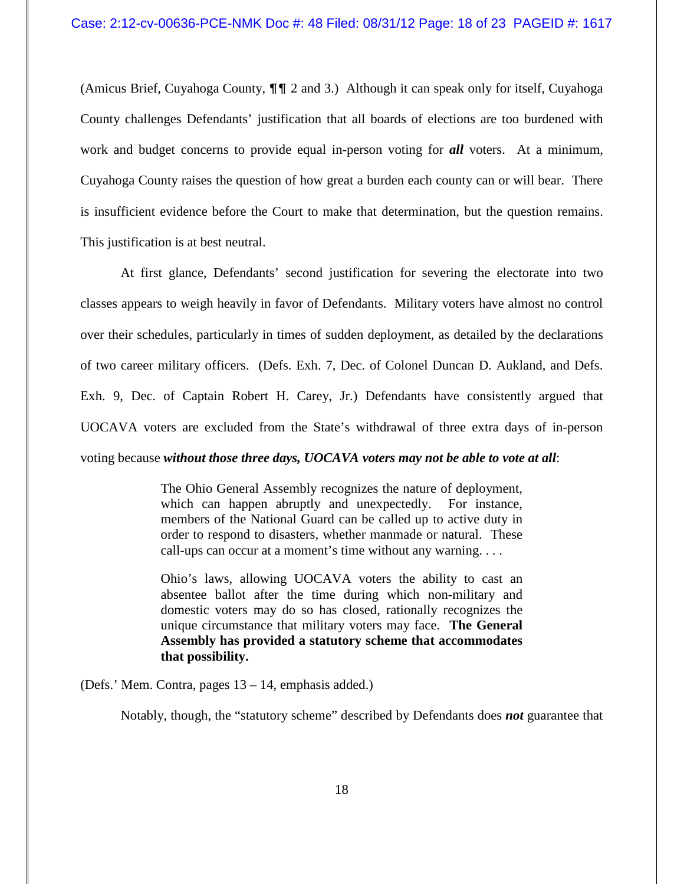(Amicus Brief, Cuyahoga County,  $\P\P$  2 and 3.) Although it can speak only for itself, Cuyahoga County challenges Defendants' justification that all boards of elections are too burdened with work and budget concerns to provide equal in-person voting for *all* voters. At a minimum, Cuyahoga County raises the question of how great a burden each county can or will bear. There is insufficient evidence before the Court to make that determination, but the question remains. This justification is at best neutral.

At first glance, Defendants' second justification for severing the electorate into two classes appears to weigh heavily in favor of Defendants. Military voters have almost no control over their schedules, particularly in times of sudden deployment, as detailed by the declarations of two career military officers. (Defs. Exh. 7, Dec. of Colonel Duncan D. Aukland, and Defs. Exh. 9, Dec. of Captain Robert H. Carey, Jr.) Defendants have consistently argued that UOCAVA voters are excluded from the State's withdrawal of three extra days of in-person voting because *without those three days, UOCAVA voters may not be able to vote at all*:

> The Ohio General Assembly recognizes the nature of deployment, which can happen abruptly and unexpectedly. For instance, members of the National Guard can be called up to active duty in order to respond to disasters, whether manmade or natural. These call-ups can occur at a moment's time without any warning. . . .

> Ohio's laws, allowing UOCAVA voters the ability to cast an absentee ballot after the time during which non-military and domestic voters may do so has closed, rationally recognizes the unique circumstance that military voters may face. **The General Assembly has provided a statutory scheme that accommodates that possibility.**

(Defs.' Mem. Contra, pages 13 – 14, emphasis added.)

Notably, though, the "statutory scheme" described by Defendants does *not* guarantee that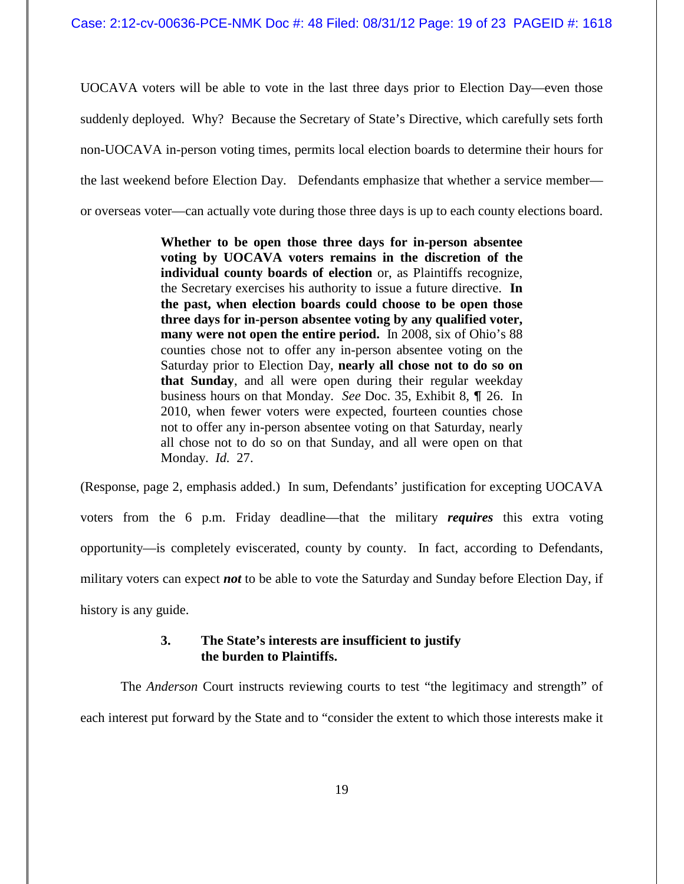UOCAVA voters will be able to vote in the last three days prior to Election Day—even those suddenly deployed. Why? Because the Secretary of State's Directive, which carefully sets forth non-UOCAVA in-person voting times, permits local election boards to determine their hours for the last weekend before Election Day. Defendants emphasize that whether a service member or overseas voter—can actually vote during those three days is up to each county elections board.

> **Whether to be open those three days for in-person absentee voting by UOCAVA voters remains in the discretion of the individual county boards of election** or, as Plaintiffs recognize, the Secretary exercises his authority to issue a future directive. **In the past, when election boards could choose to be open those three days for in-person absentee voting by any qualified voter, many were not open the entire period.** In 2008, six of Ohio's 88 counties chose not to offer any in-person absentee voting on the Saturday prior to Election Day, **nearly all chose not to do so on that Sunday**, and all were open during their regular weekday business hours on that Monday. *See* Doc. 35, Exhibit 8,  $\P$  26. In 2010, when fewer voters were expected, fourteen counties chose not to offer any in-person absentee voting on that Saturday, nearly all chose not to do so on that Sunday, and all were open on that Monday. *Id.* 27.

(Response, page 2, emphasis added.) In sum, Defendants' justification for excepting UOCAVA voters from the 6 p.m. Friday deadline—that the military *requires* this extra voting opportunity—is completely eviscerated, county by county. In fact, according to Defendants, military voters can expect *not* to be able to vote the Saturday and Sunday before Election Day, if history is any guide.

# **3. The State's interests are insufficient to justify the burden to Plaintiffs.**

The *Anderson* Court instructs reviewing courts to test "the legitimacy and strength" of each interest put forward by the State and to "consider the extent to which those interests make it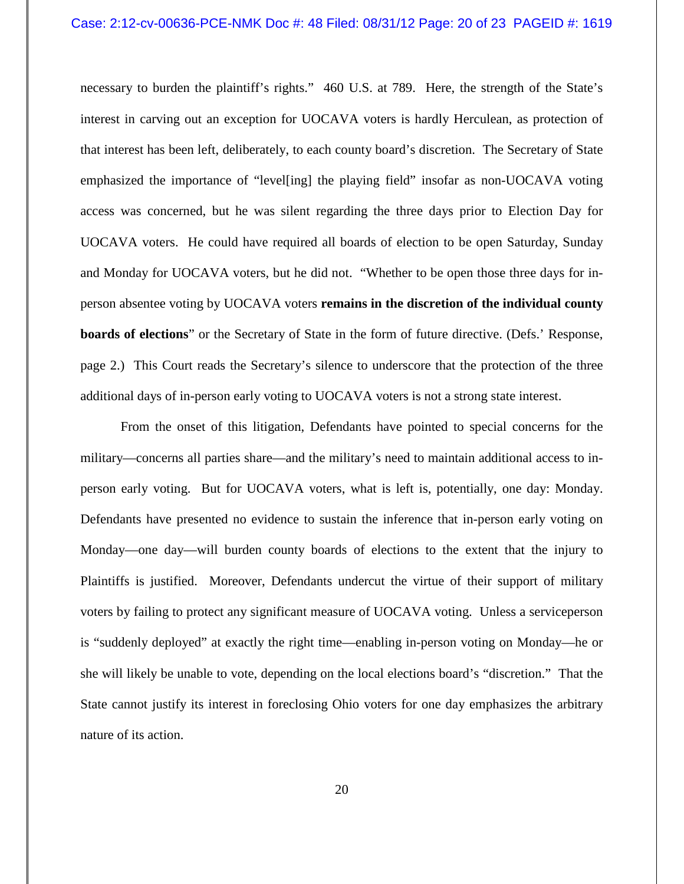### Case: 2:12-cv-00636-PCE-NMK Doc #: 48 Filed: 08/31/12 Page: 20 of 23 PAGEID #: 1619

necessary to burden the plaintiff's rights." 460 U.S. at 789. Here, the strength of the State's interest in carving out an exception for UOCAVA voters is hardly Herculean, as protection of that interest has been left, deliberately, to each county board's discretion. The Secretary of State emphasized the importance of "level[ing] the playing field" insofar as non-UOCAVA voting access was concerned, but he was silent regarding the three days prior to Election Day for UOCAVA voters. He could have required all boards of election to be open Saturday, Sunday and Monday for UOCAVA voters, but he did not. "Whether to be open those three days for inperson absentee voting by UOCAVA voters **remains in the discretion of the individual county boards of elections**" or the Secretary of State in the form of future directive. (Defs.' Response, page 2.) This Court reads the Secretary's silence to underscore that the protection of the three additional days of in-person early voting to UOCAVA voters is not a strong state interest.

From the onset of this litigation, Defendants have pointed to special concerns for the military—concerns all parties share—and the military's need to maintain additional access to inperson early voting. But for UOCAVA voters, what is left is, potentially, one day: Monday. Defendants have presented no evidence to sustain the inference that in-person early voting on Monday—one day—will burden county boards of elections to the extent that the injury to Plaintiffs is justified. Moreover, Defendants undercut the virtue of their support of military voters by failing to protect any significant measure of UOCAVA voting. Unless a serviceperson is "suddenly deployed" at exactly the right time—enabling in-person voting on Monday—he or she will likely be unable to vote, depending on the local elections board's "discretion." That the State cannot justify its interest in foreclosing Ohio voters for one day emphasizes the arbitrary nature of its action.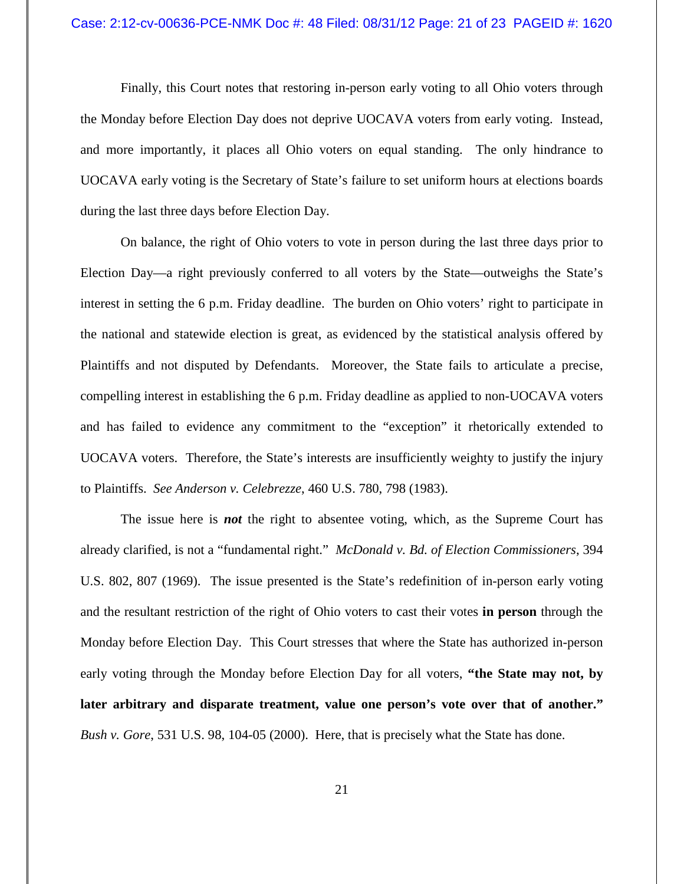Finally, this Court notes that restoring in-person early voting to all Ohio voters through the Monday before Election Day does not deprive UOCAVA voters from early voting. Instead, and more importantly, it places all Ohio voters on equal standing. The only hindrance to UOCAVA early voting is the Secretary of State's failure to set uniform hours at elections boards during the last three days before Election Day.

On balance, the right of Ohio voters to vote in person during the last three days prior to Election Day—a right previously conferred to all voters by the State—outweighs the State's interest in setting the 6 p.m. Friday deadline. The burden on Ohio voters' right to participate in the national and statewide election is great, as evidenced by the statistical analysis offered by Plaintiffs and not disputed by Defendants. Moreover, the State fails to articulate a precise, compelling interest in establishing the 6 p.m. Friday deadline as applied to non-UOCAVA voters and has failed to evidence any commitment to the "exception" it rhetorically extended to UOCAVA voters. Therefore, the State's interests are insufficiently weighty to justify the injury to Plaintiffs. *See Anderson v. Celebrezze*, 460 U.S. 780, 798 (1983).

The issue here is *not* the right to absentee voting, which, as the Supreme Court has already clarified, is not a "fundamental right." *McDonald v. Bd. of Election Commissioners*, 394 U.S. 802, 807 (1969). The issue presented is the State's redefinition of in-person early voting and the resultant restriction of the right of Ohio voters to cast their votes **in person** through the Monday before Election Day. This Court stresses that where the State has authorized in-person early voting through the Monday before Election Day for all voters, **"the State may not, by later arbitrary and disparate treatment, value one person's vote over that of another."** *Bush v. Gore*, 531 U.S. 98, 104-05 (2000). Here, that is precisely what the State has done.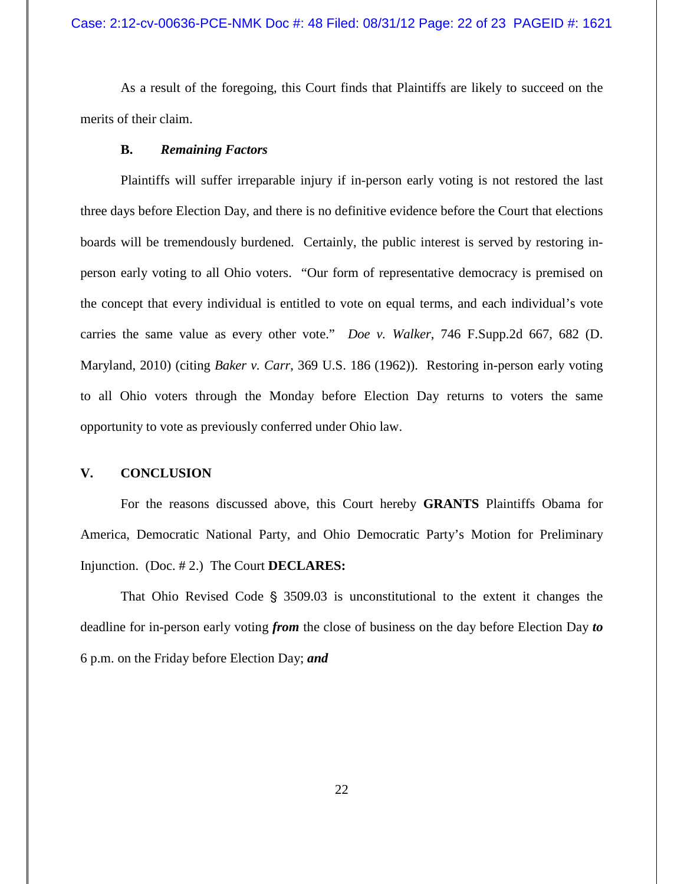## Case: 2:12-cv-00636-PCE-NMK Doc #: 48 Filed: 08/31/12 Page: 22 of 23 PAGEID #: 1621

As a result of the foregoing, this Court finds that Plaintiffs are likely to succeed on the merits of their claim.

## **B.** *Remaining Factors*

Plaintiffs will suffer irreparable injury if in-person early voting is not restored the last three days before Election Day, and there is no definitive evidence before the Court that elections boards will be tremendously burdened. Certainly, the public interest is served by restoring inperson early voting to all Ohio voters. "Our form of representative democracy is premised on the concept that every individual is entitled to vote on equal terms, and each individual's vote carries the same value as every other vote." *Doe v. Walker*, 746 F.Supp.2d 667, 682 (D. Maryland, 2010) (citing *Baker v. Carr*, 369 U.S. 186 (1962)). Restoring in-person early voting to all Ohio voters through the Monday before Election Day returns to voters the same opportunity to vote as previously conferred under Ohio law.

## **V. CONCLUSION**

For the reasons discussed above, this Court hereby **GRANTS** Plaintiffs Obama for America, Democratic National Party, and Ohio Democratic Party's Motion for Preliminary Injunction. (Doc. # 2.) The Court **DECLARES:**

That Ohio Revised Code  $\S$  3509.03 is unconstitutional to the extent it changes the deadline for in-person early voting *from* the close of business on the day before Election Day *to* 6 p.m. on the Friday before Election Day; *and*